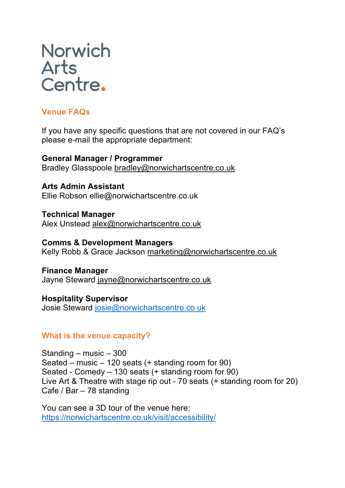# **Norwich** Arts<br>Centre.

# **Venue FAQs**

If you have any specific questions that are not covered in our FAQ's please e-mail the appropriate department:

**General Manager / Programmer** Bradley Glasspoole bradley@norwichartscentre.co.uk

**Arts Admin Assistant** Ellie Robson ellie@norwichartscentre.co.uk

**Technical Manager** Alex Unstead alex@norwichartscentre.co.uk

**Comms & Development Managers** Kelly Robb & Grace Jackson marketing@norwichartscentre.co.uk

**Finance Manager** Jayne Steward jayne@norwichartscentre.co.uk

**Hospitality Supervisor** Josie Steward josie@norwichartscentre.co.uk

## **What is the venue capacity?**

Standing – music – 300 Seated – music – 120 seats (+ standing room for 90) Seated - Comedy – 130 seats (+ standing room for 90) Live Art & Theatre with stage rip out - 70 seats (+ standing room for 20) Cafe / Bar – 78 standing

You can see a 3D tour of the venue here: https://norwichartscentre.co.uk/visit/accessibility/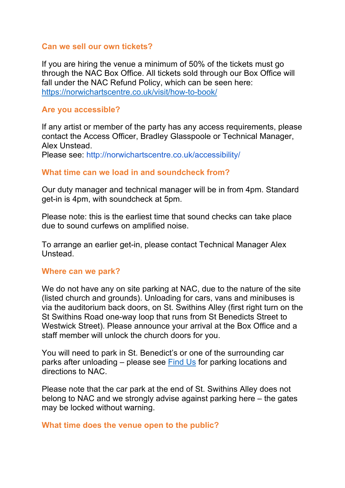#### **Can we sell our own tickets?**

If you are hiring the venue a minimum of 50% of the tickets must go through the NAC Box Office. All tickets sold through our Box Office will fall under the NAC Refund Policy, which can be seen here: https://norwichartscentre.co.uk/visit/how-to-book/

#### **Are you accessible?**

If any artist or member of the party has any access requirements, please contact the Access Officer, Bradley Glasspoole or Technical Manager, Alex Unstead.

Please see: http://norwichartscentre.co.uk/accessibility/

#### **What time can we load in and soundcheck from?**

Our duty manager and technical manager will be in from 4pm. Standard get-in is 4pm, with soundcheck at 5pm.

Please note: this is the earliest time that sound checks can take place due to sound curfews on amplified noise.

To arrange an earlier get-in, please contact Technical Manager Alex Unstead.

#### **Where can we park?**

We do not have any on site parking at NAC, due to the nature of the site (listed church and grounds). Unloading for cars, vans and minibuses is via the auditorium back doors, on St. Swithins Alley (first right turn on the St Swithins Road one-way loop that runs from St Benedicts Street to Westwick Street). Please announce your arrival at the Box Office and a staff member will unlock the church doors for you.

You will need to park in St. Benedict's or one of the surrounding car parks after unloading – please see Find Us for parking locations and directions to NAC.

Please note that the car park at the end of St. Swithins Alley does not belong to NAC and we strongly advise against parking here – the gates may be locked without warning.

#### **What time does the venue open to the public?**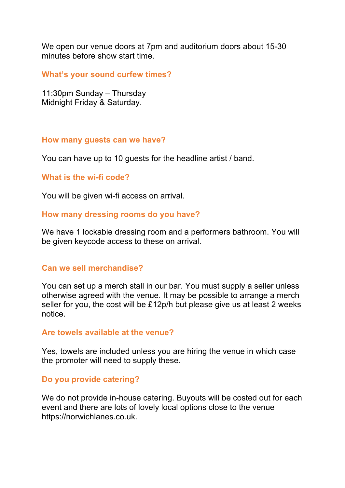We open our venue doors at 7pm and auditorium doors about 15-30 minutes before show start time.

**What's your sound curfew times?**

11:30pm Sunday – Thursday Midnight Friday & Saturday.

#### **How many guests can we have?**

You can have up to 10 guests for the headline artist / band.

#### **What is the wi-fi code?**

You will be given wi-fi access on arrival.

#### **How many dressing rooms do you have?**

We have 1 lockable dressing room and a performers bathroom. You will be given keycode access to these on arrival.

#### **Can we sell merchandise?**

You can set up a merch stall in our bar. You must supply a seller unless otherwise agreed with the venue. It may be possible to arrange a merch seller for you, the cost will be £12p/h but please give us at least 2 weeks notice.

#### **Are towels available at the venue?**

Yes, towels are included unless you are hiring the venue in which case the promoter will need to supply these.

#### **Do you provide catering?**

We do not provide in-house catering. Buyouts will be costed out for each event and there are lots of lovely local options close to the venue https://norwichlanes.co.uk.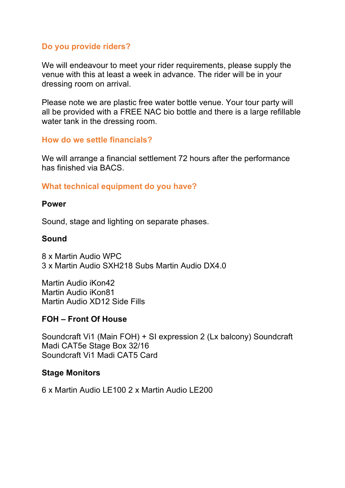## **Do you provide riders?**

We will endeavour to meet your rider requirements, please supply the venue with this at least a week in advance. The rider will be in your dressing room on arrival.

Please note we are plastic free water bottle venue. Your tour party will all be provided with a FREE NAC bio bottle and there is a large refillable water tank in the dressing room.

## **How do we settle financials?**

We will arrange a financial settlement 72 hours after the performance has finished via BACS.

# **What technical equipment do you have?**

#### **Power**

Sound, stage and lighting on separate phases.

## **Sound**

8 x Martin Audio WPC 3 x Martin Audio SXH218 Subs Martin Audio DX4.0

Martin Audio iKon42 Martin Audio iKon81 Martin Audio XD12 Side Fills

## **FOH – Front Of House**

Soundcraft Vi1 (Main FOH) + SI expression 2 (Lx balcony) Soundcraft Madi CAT5e Stage Box 32/16 Soundcraft Vi1 Madi CAT5 Card

## **Stage Monitors**

6 x Martin Audio LE100 2 x Martin Audio LE200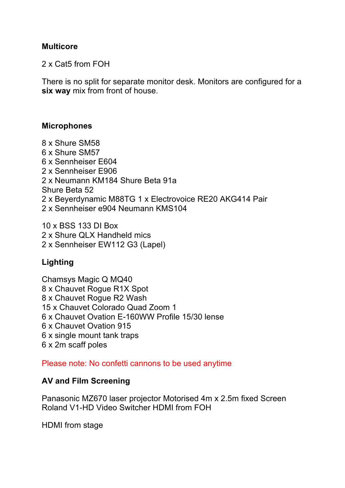## **Multicore**

2 x Cat5 from FOH

There is no split for separate monitor desk. Monitors are configured for a **six way** mix from front of house.

#### **Microphones**

8 x Shure SM58 6 x Shure SM57 6 x Sennheiser E604 2 x Sennheiser E906 2 x Neumann KM184 Shure Beta 91a Shure Beta 52 2 x Beyerdynamic M88TG 1 x Electrovoice RE20 AKG414 Pair 2 x Sennheiser e904 Neumann KMS104

10 x BSS 133 DI Box 2 x Shure QLX Handheld mics 2 x Sennheiser EW112 G3 (Lapel)

# **Lighting**

Chamsys Magic Q MQ40 8 x Chauvet Rogue R1X Spot 8 x Chauvet Rogue R2 Wash 15 x Chauvet Colorado Quad Zoom 1 6 x Chauvet Ovation E-160WW Profile 15/30 lense 6 x Chauvet Ovation 915 6 x single mount tank traps 6 x 2m scaff poles

Please note: No confetti cannons to be used anytime

#### **AV and Film Screening**

Panasonic MZ670 laser projector Motorised 4m x 2.5m fixed Screen Roland V1-HD Video Switcher HDMI from FOH

HDMI from stage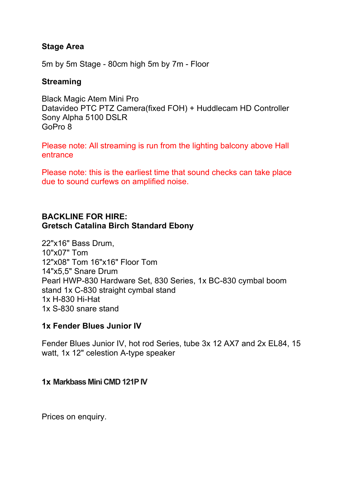## **Stage Area**

5m by 5m Stage - 80cm high 5m by 7m - Floor

#### **Streaming**

Black Magic Atem Mini Pro Datavideo PTC PTZ Camera(fixed FOH) + Huddlecam HD Controller Sony Alpha 5100 DSLR GoPro 8

Please note: All streaming is run from the lighting balcony above Hall entrance

Please note: this is the earliest time that sound checks can take place due to sound curfews on amplified noise.

## **BACKLINE FOR HIRE: Gretsch Catalina Birch Standard Ebony**

22"x16" Bass Drum, 10"x07" Tom 12"x08" Tom 16"x16" Floor Tom 14"x5,5" Snare Drum Pearl HWP-830 Hardware Set, 830 Series, 1x BC-830 cymbal boom stand 1x C-830 straight cymbal stand 1x H-830 Hi-Hat 1x S-830 snare stand

## **1x Fender Blues Junior IV**

Fender Blues Junior IV, hot rod Series, tube 3x 12 AX7 and 2x EL84, 15 watt, 1x 12" celestion A-type speaker

#### **1x Markbass Mini CMD 121P IV**

Prices on enquiry.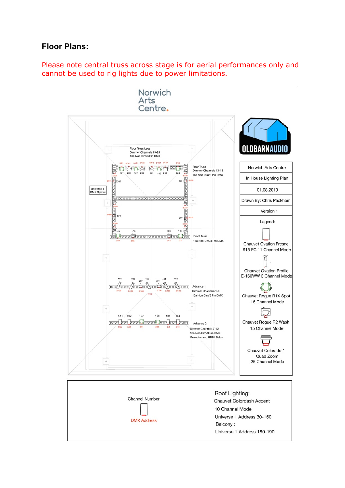## **Floor Plans:**

Please note central truss across stage is for aerial performances only and cannot be used to rig lights due to power limitations.

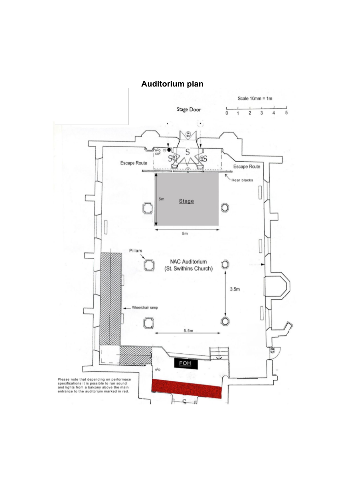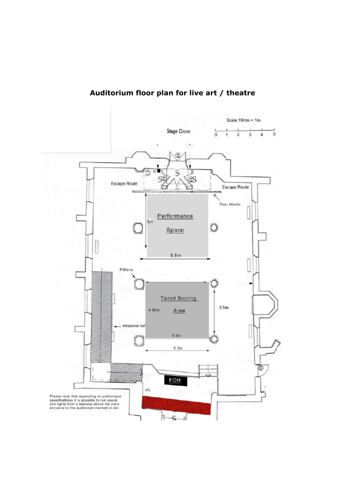## **Auditorium floor plan for live art / theatre**